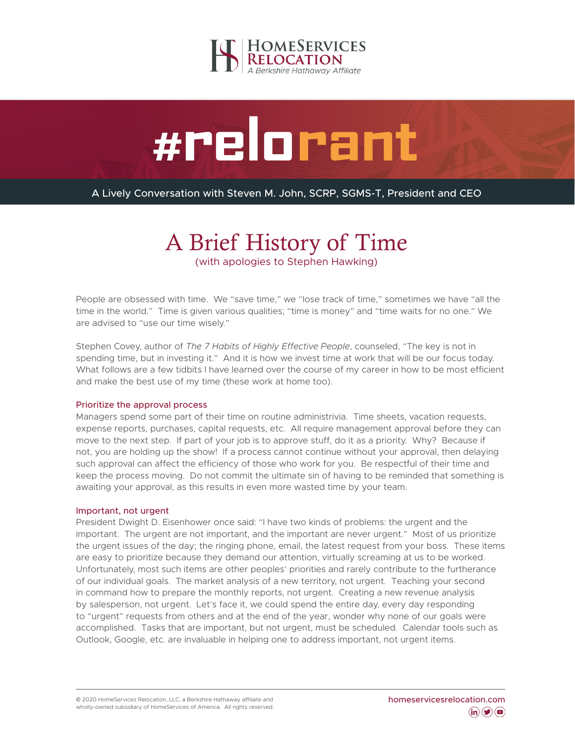



A Lively Conversation with Steven M. John, SCRP, SGMS-T, President and CEO

# A Brief History of Time

(with apologies to Stephen Hawking)

People are obsessed with time. We "save time," we "lose track of time," sometimes we have "all the time in the world." Time is given various qualities; "time is money" and "time waits for no one." We are advised to "use our time wisely."

Stephen Covey, author of *The 7 Habits of Highly Effective People*, counseled, "The key is not in spending time, but in investing it." And it is how we invest time at work that will be our focus today. What follows are a few tidbits I have learned over the course of my career in how to be most efficient and make the best use of my time (these work at home too).

## Prioritize the approval process

Managers spend some part of their time on routine administrivia. Time sheets, vacation requests, expense reports, purchases, capital requests, etc. All require management approval before they can move to the next step. If part of your job is to approve stuff, do it as a priority. Why? Because if not, you are holding up the show! If a process cannot continue without your approval, then delaying such approval can affect the efficiency of those who work for you. Be respectful of their time and keep the process moving. Do not commit the ultimate sin of having to be reminded that something is awaiting your approval, as this results in even more wasted time by your team.

### Important, not urgent

President Dwight D. Eisenhower once said: "I have two kinds of problems: the urgent and the important. The urgent are not important, and the important are never urgent." Most of us prioritize the urgent issues of the day; the ringing phone, email, the latest request from your boss. These items are easy to prioritize because they demand our attention, virtually screaming at us to be worked. Unfortunately, most such items are other peoples' priorities and rarely contribute to the furtherance of our individual goals. The market analysis of a new territory, not urgent. Teaching your second in command how to prepare the monthly reports, not urgent. Creating a new revenue analysis by salesperson, not urgent. Let's face it, we could spend the entire day, every day responding to "urgent" requests from others and at the end of the year, wonder why none of our goals were accomplished. Tasks that are important, but not urgent, must be scheduled. Calendar tools such as Outlook, Google, etc. are invaluable in helping one to address important, not urgent items.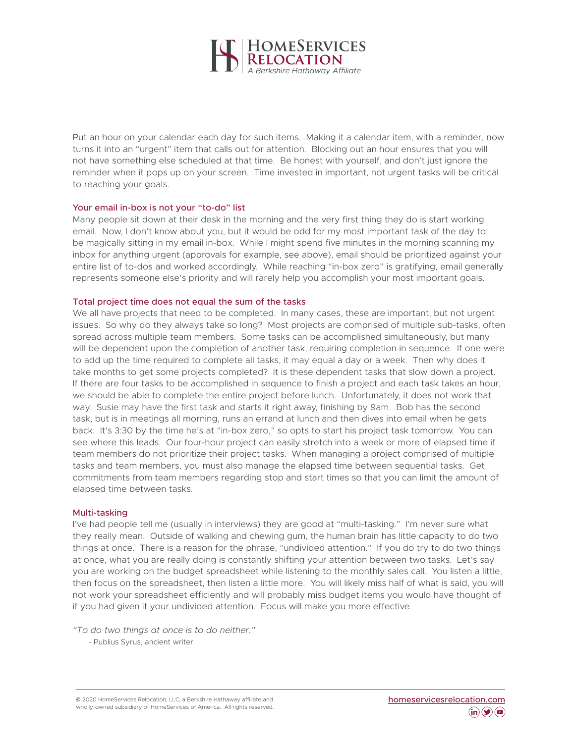

Put an hour on your calendar each day for such items. Making it a calendar item, with a reminder, now turns it into an "urgent" item that calls out for attention. Blocking out an hour ensures that you will not have something else scheduled at that time. Be honest with yourself, and don't just ignore the reminder when it pops up on your screen. Time invested in important, not urgent tasks will be critical to reaching your goals.

## Your email in-box is not your "to-do" list

Many people sit down at their desk in the morning and the very first thing they do is start working email. Now, I don't know about you, but it would be odd for my most important task of the day to be magically sitting in my email in-box. While I might spend five minutes in the morning scanning my inbox for anything urgent (approvals for example, see above), email should be prioritized against your entire list of to-dos and worked accordingly. While reaching "in-box zero" is gratifying, email generally represents someone else's priority and will rarely help you accomplish your most important goals.

### Total project time does not equal the sum of the tasks

We all have projects that need to be completed. In many cases, these are important, but not urgent issues. So why do they always take so long? Most projects are comprised of multiple sub-tasks, often spread across multiple team members. Some tasks can be accomplished simultaneously, but many will be dependent upon the completion of another task, requiring completion in sequence. If one were to add up the time required to complete all tasks, it may equal a day or a week. Then why does it take months to get some projects completed? It is these dependent tasks that slow down a project. If there are four tasks to be accomplished in sequence to finish a project and each task takes an hour, we should be able to complete the entire project before lunch. Unfortunately, it does not work that way. Susie may have the first task and starts it right away, finishing by 9am. Bob has the second task, but is in meetings all morning, runs an errand at lunch and then dives into email when he gets back. It's 3:30 by the time he's at "in-box zero," so opts to start his project task tomorrow. You can see where this leads. Our four-hour project can easily stretch into a week or more of elapsed time if team members do not prioritize their project tasks. When managing a project comprised of multiple tasks and team members, you must also manage the elapsed time between sequential tasks. Get commitments from team members regarding stop and start times so that you can limit the amount of elapsed time between tasks.

### Multi-tasking

I've had people tell me (usually in interviews) they are good at "multi-tasking." I'm never sure what they really mean. Outside of walking and chewing gum, the human brain has little capacity to do two things at once. There is a reason for the phrase, "undivided attention." If you do try to do two things at once, what you are really doing is constantly shifting your attention between two tasks. Let's say you are working on the budget spreadsheet while listening to the monthly sales call. You listen a little, then focus on the spreadsheet, then listen a little more. You will likely miss half of what is said, you will not work your spreadsheet efficiently and will probably miss budget items you would have thought of if you had given it your undivided attention. Focus will make you more effective.

*"To do two things at once is to do neither."* - Publius Syrus, ancient writer